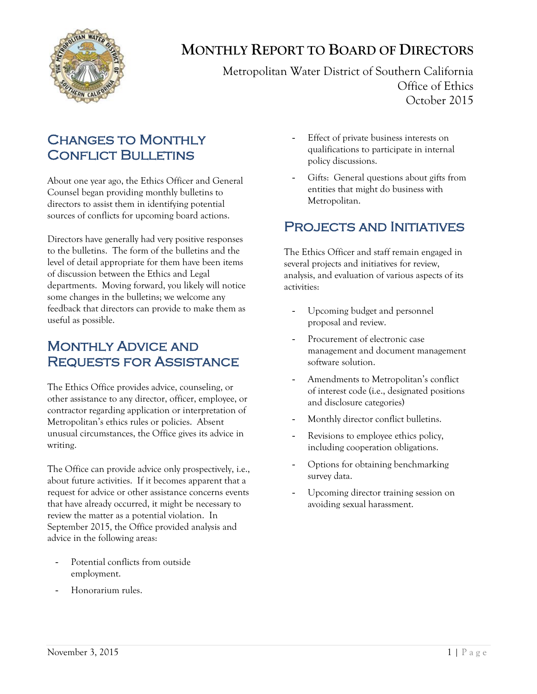

# **MONTHLY REPORT TO BOARD OF DIRECTORS**

Metropolitan Water District of Southern California Office of Ethics October 2015

## **CHANGES TO MONTHLY CONFLICT BULLETINS**

About one year ago, the Ethics Officer and General Counsel began providing monthly bulletins to directors to assist them in identifying potential sources of conflicts for upcoming board actions.

Directors have generally had very positive responses to the bulletins. The form of the bulletins and the level of detail appropriate for them have been items of discussion between the Ethics and Legal departments. Moving forward, you likely will notice some changes in the bulletins; we welcome any feedback that directors can provide to make them as useful as possible.

#### Monthly Advice and Requests for Assistance

The Ethics Office provides advice, counseling, or other assistance to any director, officer, employee, or contractor regarding application or interpretation of Metropolitan's ethics rules or policies. Absent unusual circumstances, the Office gives its advice in writing.

The Office can provide advice only prospectively, i.e., about future activities. If it becomes apparent that a request for advice or other assistance concerns events that have already occurred, it might be necessary to review the matter as a potential violation. In September 2015, the Office provided analysis and advice in the following areas:

- Potential conflicts from outside employment.
- Honorarium rules.
- Effect of private business interests on qualifications to participate in internal policy discussions.
- Gifts: General questions about gifts from entities that might do business with Metropolitan.

## PROJECTS AND INITIATIVES

The Ethics Officer and staff remain engaged in several projects and initiatives for review, analysis, and evaluation of various aspects of its activities:

- Upcoming budget and personnel proposal and review.
- Procurement of electronic case management and document management software solution.
- Amendments to Metropolitan's conflict of interest code (i.e., designated positions and disclosure categories)
- Monthly director conflict bulletins.
- Revisions to employee ethics policy, including cooperation obligations.
- Options for obtaining benchmarking survey data.
- Upcoming director training session on avoiding sexual harassment.